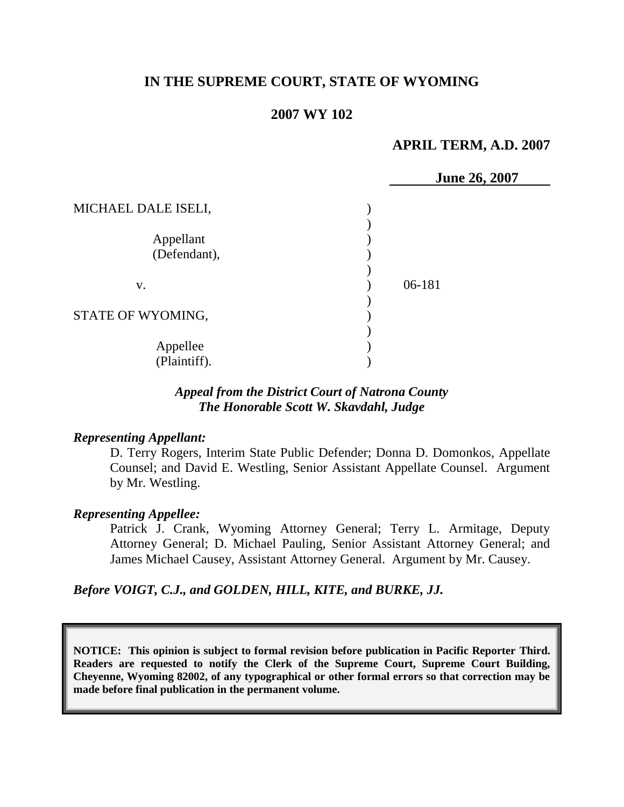# **IN THE SUPREME COURT, STATE OF WYOMING**

### **2007 WY 102**

#### **APRIL TERM, A.D. 2007**

|                           | <b>June 26, 2007</b> |  |
|---------------------------|----------------------|--|
| MICHAEL DALE ISELI,       |                      |  |
| Appellant<br>(Defendant), |                      |  |
| V.                        | 06-181               |  |
| STATE OF WYOMING,         |                      |  |
| Appellee<br>(Plaintiff).  |                      |  |

### *Appeal from the District Court of Natrona County The Honorable Scott W. Skavdahl, Judge*

#### *Representing Appellant:*

D. Terry Rogers, Interim State Public Defender; Donna D. Domonkos, Appellate Counsel; and David E. Westling, Senior Assistant Appellate Counsel. Argument by Mr. Westling.

#### *Representing Appellee:*

Patrick J. Crank, Wyoming Attorney General; Terry L. Armitage, Deputy Attorney General; D. Michael Pauling, Senior Assistant Attorney General; and James Michael Causey, Assistant Attorney General. Argument by Mr. Causey.

*Before VOIGT, C.J., and GOLDEN, HILL, KITE, and BURKE, JJ.*

**NOTICE: This opinion is subject to formal revision before publication in Pacific Reporter Third. Readers are requested to notify the Clerk of the Supreme Court, Supreme Court Building, Cheyenne, Wyoming 82002, of any typographical or other formal errors so that correction may be made before final publication in the permanent volume.**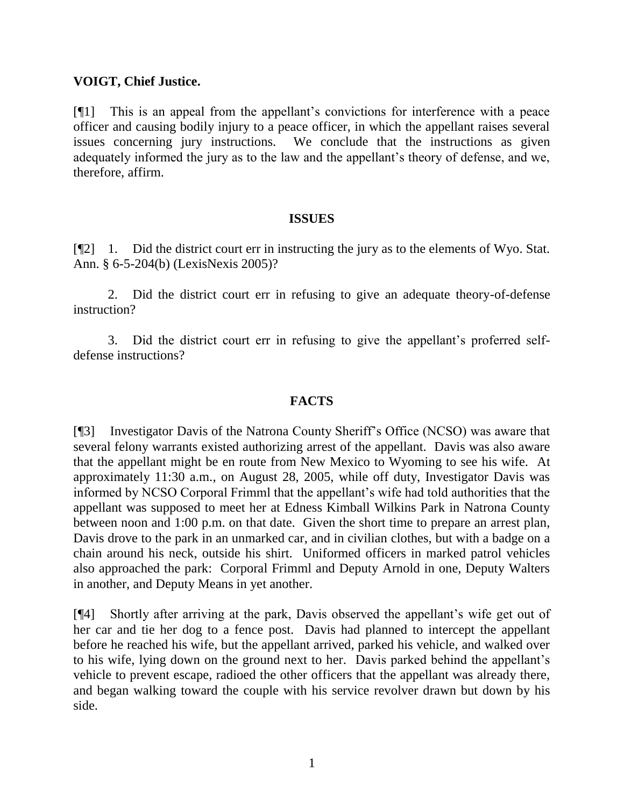## **VOIGT, Chief Justice.**

[¶1] This is an appeal from the appellant's convictions for interference with a peace officer and causing bodily injury to a peace officer, in which the appellant raises several issues concerning jury instructions. We conclude that the instructions as given adequately informed the jury as to the law and the appellant's theory of defense, and we, therefore, affirm.

#### **ISSUES**

[¶2] 1. Did the district court err in instructing the jury as to the elements of Wyo. Stat. Ann. § 6-5-204(b) (LexisNexis 2005)?

2. Did the district court err in refusing to give an adequate theory-of-defense instruction?

3. Did the district court err in refusing to give the appellant's proferred selfdefense instructions?

### **FACTS**

[¶3] Investigator Davis of the Natrona County Sheriff's Office (NCSO) was aware that several felony warrants existed authorizing arrest of the appellant. Davis was also aware that the appellant might be en route from New Mexico to Wyoming to see his wife. At approximately 11:30 a.m., on August 28, 2005, while off duty, Investigator Davis was informed by NCSO Corporal Frimml that the appellant's wife had told authorities that the appellant was supposed to meet her at Edness Kimball Wilkins Park in Natrona County between noon and 1:00 p.m. on that date. Given the short time to prepare an arrest plan, Davis drove to the park in an unmarked car, and in civilian clothes, but with a badge on a chain around his neck, outside his shirt. Uniformed officers in marked patrol vehicles also approached the park: Corporal Frimml and Deputy Arnold in one, Deputy Walters in another, and Deputy Means in yet another.

[¶4] Shortly after arriving at the park, Davis observed the appellant's wife get out of her car and tie her dog to a fence post. Davis had planned to intercept the appellant before he reached his wife, but the appellant arrived, parked his vehicle, and walked over to his wife, lying down on the ground next to her. Davis parked behind the appellant's vehicle to prevent escape, radioed the other officers that the appellant was already there, and began walking toward the couple with his service revolver drawn but down by his side.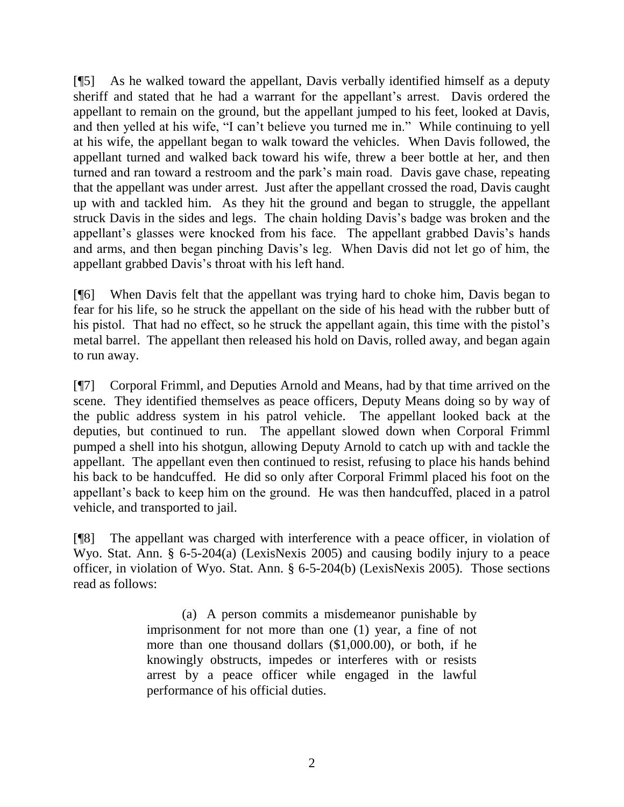[¶5] As he walked toward the appellant, Davis verbally identified himself as a deputy sheriff and stated that he had a warrant for the appellant's arrest. Davis ordered the appellant to remain on the ground, but the appellant jumped to his feet, looked at Davis, and then yelled at his wife, "I can't believe you turned me in." While continuing to yell at his wife, the appellant began to walk toward the vehicles. When Davis followed, the appellant turned and walked back toward his wife, threw a beer bottle at her, and then turned and ran toward a restroom and the park's main road. Davis gave chase, repeating that the appellant was under arrest. Just after the appellant crossed the road, Davis caught up with and tackled him. As they hit the ground and began to struggle, the appellant struck Davis in the sides and legs. The chain holding Davis's badge was broken and the appellant's glasses were knocked from his face. The appellant grabbed Davis's hands and arms, and then began pinching Davis's leg. When Davis did not let go of him, the appellant grabbed Davis's throat with his left hand.

[¶6] When Davis felt that the appellant was trying hard to choke him, Davis began to fear for his life, so he struck the appellant on the side of his head with the rubber butt of his pistol. That had no effect, so he struck the appellant again, this time with the pistol's metal barrel. The appellant then released his hold on Davis, rolled away, and began again to run away.

[¶7] Corporal Frimml, and Deputies Arnold and Means, had by that time arrived on the scene. They identified themselves as peace officers, Deputy Means doing so by way of the public address system in his patrol vehicle. The appellant looked back at the deputies, but continued to run. The appellant slowed down when Corporal Frimml pumped a shell into his shotgun, allowing Deputy Arnold to catch up with and tackle the appellant. The appellant even then continued to resist, refusing to place his hands behind his back to be handcuffed. He did so only after Corporal Frimml placed his foot on the appellant's back to keep him on the ground. He was then handcuffed, placed in a patrol vehicle, and transported to jail.

[¶8] The appellant was charged with interference with a peace officer, in violation of Wyo. Stat. Ann. § 6-5-204(a) (LexisNexis 2005) and causing bodily injury to a peace officer, in violation of Wyo. Stat. Ann. § 6-5-204(b) (LexisNexis 2005). Those sections read as follows:

> (a) A person commits a misdemeanor punishable by imprisonment for not more than one (1) year, a fine of not more than one thousand dollars (\$1,000.00), or both, if he knowingly obstructs, impedes or interferes with or resists arrest by a peace officer while engaged in the lawful performance of his official duties.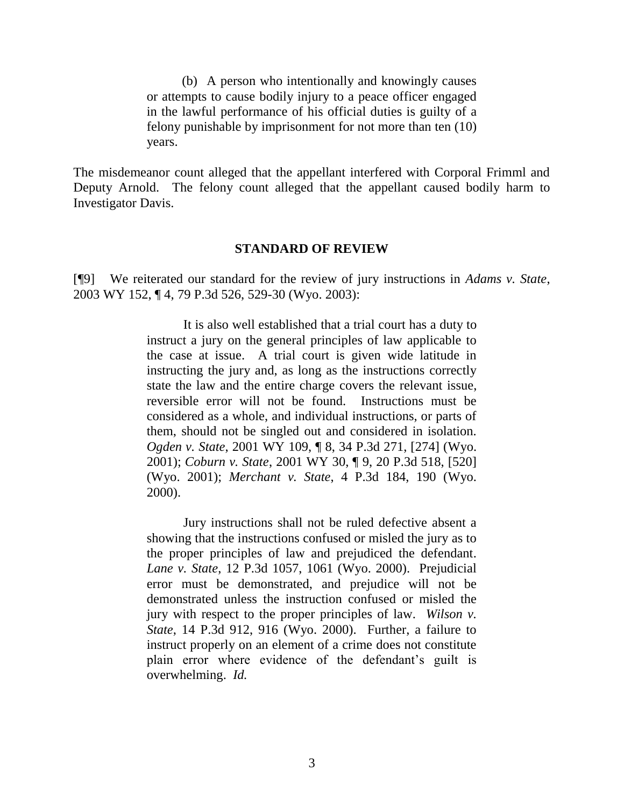(b) A person who intentionally and knowingly causes or attempts to cause bodily injury to a peace officer engaged in the lawful performance of his official duties is guilty of a felony punishable by imprisonment for not more than ten (10) years.

The misdemeanor count alleged that the appellant interfered with Corporal Frimml and Deputy Arnold. The felony count alleged that the appellant caused bodily harm to Investigator Davis.

#### **STANDARD OF REVIEW**

[¶9] We reiterated our standard for the review of jury instructions in *Adams v. State*, 2003 WY 152, ¶ 4, 79 P.3d 526, 529-30 (Wyo. 2003):

> It is also well established that a trial court has a duty to instruct a jury on the general principles of law applicable to the case at issue. A trial court is given wide latitude in instructing the jury and, as long as the instructions correctly state the law and the entire charge covers the relevant issue, reversible error will not be found. Instructions must be considered as a whole, and individual instructions, or parts of them, should not be singled out and considered in isolation. *Ogden v. State*, 2001 WY 109, ¶ 8, 34 P.3d 271, [274] (Wyo. 2001); *Coburn v. State*, 2001 WY 30, ¶ 9, 20 P.3d 518, [520] (Wyo. 2001); *Merchant v. State*, 4 P.3d 184, 190 (Wyo. 2000).

> Jury instructions shall not be ruled defective absent a showing that the instructions confused or misled the jury as to the proper principles of law and prejudiced the defendant. *Lane v. State*, 12 P.3d 1057, 1061 (Wyo. 2000). Prejudicial error must be demonstrated, and prejudice will not be demonstrated unless the instruction confused or misled the jury with respect to the proper principles of law. *Wilson v. State*, 14 P.3d 912, 916 (Wyo. 2000). Further, a failure to instruct properly on an element of a crime does not constitute plain error where evidence of the defendant's guilt is overwhelming. *Id.*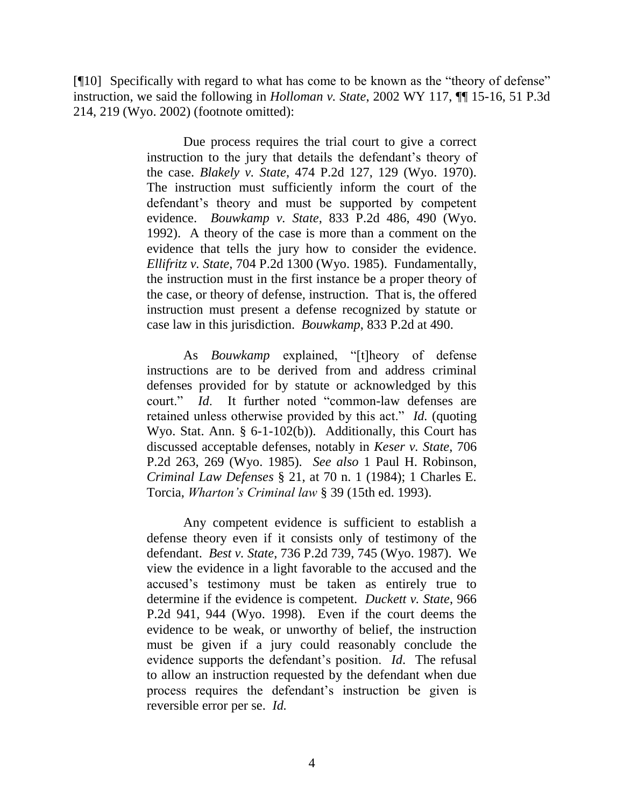[¶10] Specifically with regard to what has come to be known as the "theory of defense" instruction, we said the following in *Holloman v. State*, 2002 WY 117, ¶¶ 15-16, 51 P.3d 214, 219 (Wyo. 2002) (footnote omitted):

> Due process requires the trial court to give a correct instruction to the jury that details the defendant's theory of the case. *Blakely v. State*, 474 P.2d 127, 129 (Wyo. 1970). The instruction must sufficiently inform the court of the defendant's theory and must be supported by competent evidence. *Bouwkamp v. State*, 833 P.2d 486, 490 (Wyo. 1992). A theory of the case is more than a comment on the evidence that tells the jury how to consider the evidence. *Ellifritz v. State*, 704 P.2d 1300 (Wyo. 1985). Fundamentally, the instruction must in the first instance be a proper theory of the case, or theory of defense, instruction. That is, the offered instruction must present a defense recognized by statute or case law in this jurisdiction. *Bouwkamp*, 833 P.2d at 490.

> As *Bouwkamp* explained, "[t]heory of defense instructions are to be derived from and address criminal defenses provided for by statute or acknowledged by this court." *Id*. It further noted "common-law defenses are retained unless otherwise provided by this act." *Id.* (quoting Wyo. Stat. Ann. § 6-1-102(b)). Additionally, this Court has discussed acceptable defenses, notably in *Keser v. State*, 706 P.2d 263, 269 (Wyo. 1985). *See also* 1 Paul H. Robinson, *Criminal Law Defenses* § 21, at 70 n. 1 (1984); 1 Charles E. Torcia, *Wharton's Criminal law* § 39 (15th ed. 1993).

> Any competent evidence is sufficient to establish a defense theory even if it consists only of testimony of the defendant. *Best v. State*, 736 P.2d 739, 745 (Wyo. 1987). We view the evidence in a light favorable to the accused and the accused's testimony must be taken as entirely true to determine if the evidence is competent. *Duckett v. State*, 966 P.2d 941, 944 (Wyo. 1998). Even if the court deems the evidence to be weak, or unworthy of belief, the instruction must be given if a jury could reasonably conclude the evidence supports the defendant's position. *Id*. The refusal to allow an instruction requested by the defendant when due process requires the defendant's instruction be given is reversible error per se. *Id.*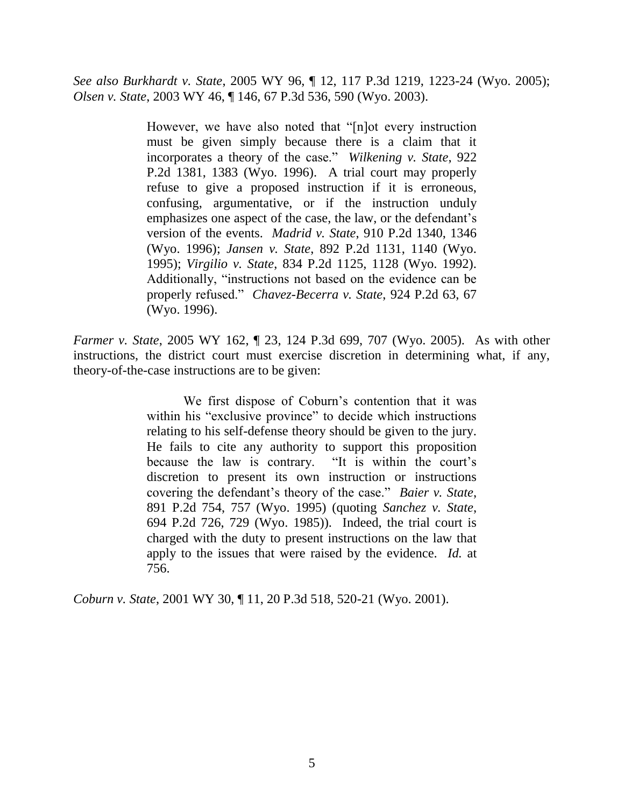*See also Burkhardt v. State*, 2005 WY 96, ¶ 12, 117 P.3d 1219, 1223-24 (Wyo. 2005); *Olsen v. State*, 2003 WY 46, ¶ 146, 67 P.3d 536, 590 (Wyo. 2003).

> However, we have also noted that "[n]ot every instruction must be given simply because there is a claim that it incorporates a theory of the case." *Wilkening v. State*, 922 P.2d 1381, 1383 (Wyo. 1996). A trial court may properly refuse to give a proposed instruction if it is erroneous, confusing, argumentative, or if the instruction unduly emphasizes one aspect of the case, the law, or the defendant's version of the events. *Madrid v. State*, 910 P.2d 1340, 1346 (Wyo. 1996); *Jansen v. State*, 892 P.2d 1131, 1140 (Wyo. 1995); *Virgilio v. State*, 834 P.2d 1125, 1128 (Wyo. 1992). Additionally, "instructions not based on the evidence can be properly refused." *Chavez-Becerra v. State*, 924 P.2d 63, 67 (Wyo. 1996).

*Farmer v. State*, 2005 WY 162, ¶ 23, 124 P.3d 699, 707 (Wyo. 2005). As with other instructions, the district court must exercise discretion in determining what, if any, theory-of-the-case instructions are to be given:

> We first dispose of Coburn's contention that it was within his "exclusive province" to decide which instructions relating to his self-defense theory should be given to the jury. He fails to cite any authority to support this proposition because the law is contrary. "It is within the court's discretion to present its own instruction or instructions covering the defendant's theory of the case." *Baier v. State*, 891 P.2d 754, 757 (Wyo. 1995) (quoting *Sanchez v. State*, 694 P.2d 726, 729 (Wyo. 1985)). Indeed, the trial court is charged with the duty to present instructions on the law that apply to the issues that were raised by the evidence. *Id.* at 756.

*Coburn v. State*, 2001 WY 30, ¶ 11, 20 P.3d 518, 520-21 (Wyo. 2001).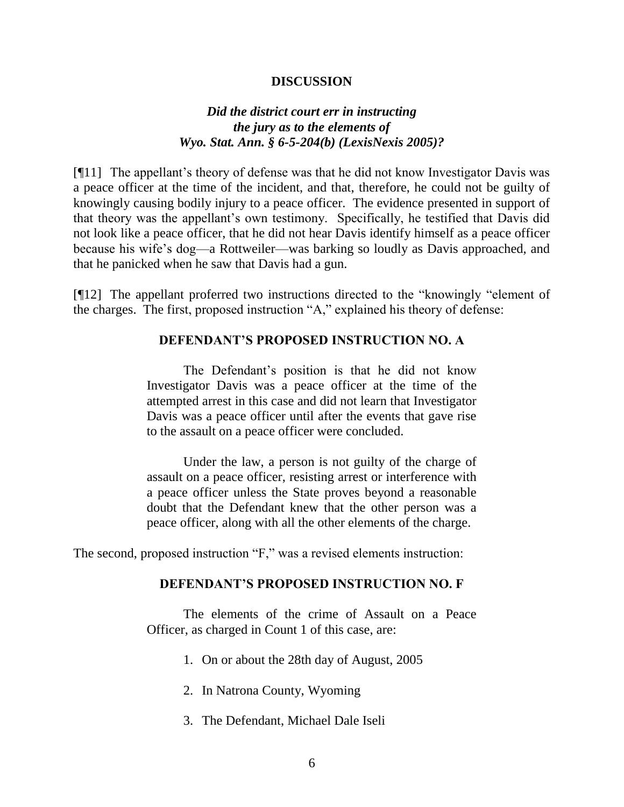#### **DISCUSSION**

### *Did the district court err in instructing the jury as to the elements of Wyo. Stat. Ann. § 6-5-204(b) (LexisNexis 2005)?*

[¶11] The appellant's theory of defense was that he did not know Investigator Davis was a peace officer at the time of the incident, and that, therefore, he could not be guilty of knowingly causing bodily injury to a peace officer. The evidence presented in support of that theory was the appellant's own testimony. Specifically, he testified that Davis did not look like a peace officer, that he did not hear Davis identify himself as a peace officer because his wife's dog—a Rottweiler—was barking so loudly as Davis approached, and that he panicked when he saw that Davis had a gun.

[¶12] The appellant proferred two instructions directed to the "knowingly "element of the charges. The first, proposed instruction "A," explained his theory of defense:

#### **DEFENDANT'S PROPOSED INSTRUCTION NO. A**

The Defendant's position is that he did not know Investigator Davis was a peace officer at the time of the attempted arrest in this case and did not learn that Investigator Davis was a peace officer until after the events that gave rise to the assault on a peace officer were concluded.

Under the law, a person is not guilty of the charge of assault on a peace officer, resisting arrest or interference with a peace officer unless the State proves beyond a reasonable doubt that the Defendant knew that the other person was a peace officer, along with all the other elements of the charge.

The second, proposed instruction "F," was a revised elements instruction:

### **DEFENDANT'S PROPOSED INSTRUCTION NO. F**

The elements of the crime of Assault on a Peace Officer, as charged in Count 1 of this case, are:

- 1. On or about the 28th day of August, 2005
- 2. In Natrona County, Wyoming
- 3. The Defendant, Michael Dale Iseli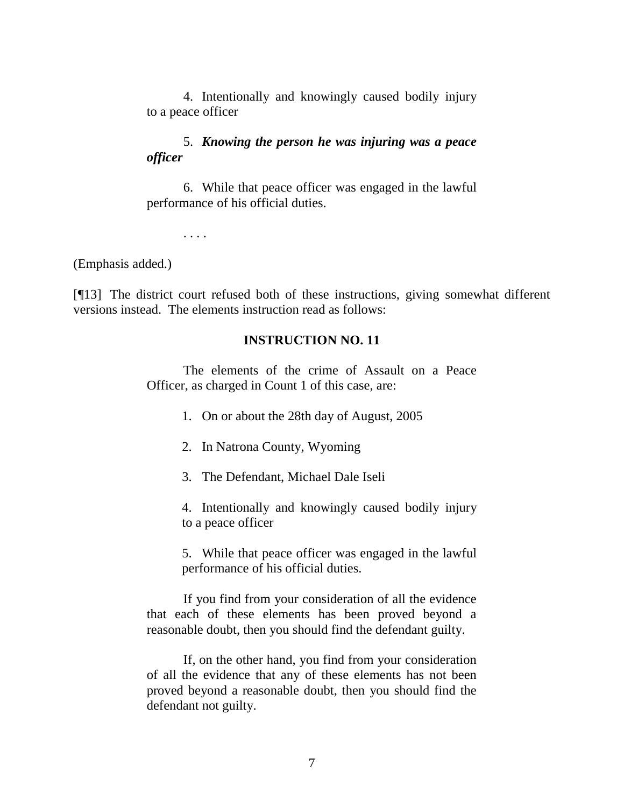4. Intentionally and knowingly caused bodily injury to a peace officer

## 5. *Knowing the person he was injuring was a peace officer*

6. While that peace officer was engaged in the lawful performance of his official duties.

. . . .

(Emphasis added.)

[¶13] The district court refused both of these instructions, giving somewhat different versions instead. The elements instruction read as follows:

### **INSTRUCTION NO. 11**

The elements of the crime of Assault on a Peace Officer, as charged in Count 1 of this case, are:

1. On or about the 28th day of August, 2005

2. In Natrona County, Wyoming

3. The Defendant, Michael Dale Iseli

4. Intentionally and knowingly caused bodily injury to a peace officer

5. While that peace officer was engaged in the lawful performance of his official duties.

If you find from your consideration of all the evidence that each of these elements has been proved beyond a reasonable doubt, then you should find the defendant guilty.

If, on the other hand, you find from your consideration of all the evidence that any of these elements has not been proved beyond a reasonable doubt, then you should find the defendant not guilty.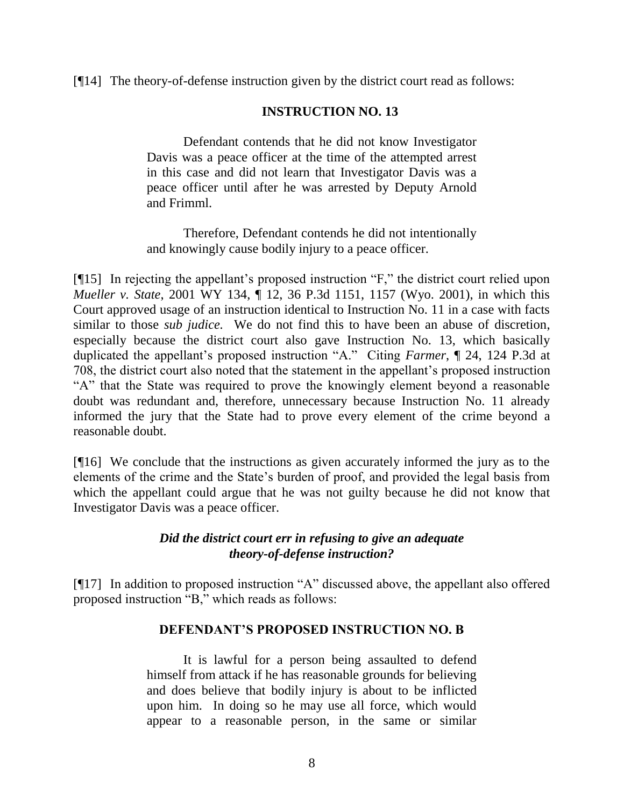### [¶14] The theory-of-defense instruction given by the district court read as follows:

#### **INSTRUCTION NO. 13**

Defendant contends that he did not know Investigator Davis was a peace officer at the time of the attempted arrest in this case and did not learn that Investigator Davis was a peace officer until after he was arrested by Deputy Arnold and Frimml.

Therefore, Defendant contends he did not intentionally and knowingly cause bodily injury to a peace officer.

[¶15] In rejecting the appellant's proposed instruction "F," the district court relied upon *Mueller v. State*, 2001 WY 134, ¶ 12, 36 P.3d 1151, 1157 (Wyo. 2001), in which this Court approved usage of an instruction identical to Instruction No. 11 in a case with facts similar to those *sub judice.* We do not find this to have been an abuse of discretion, especially because the district court also gave Instruction No. 13, which basically duplicated the appellant's proposed instruction "A." Citing *Farmer*, ¶ 24, 124 P.3d at 708, the district court also noted that the statement in the appellant's proposed instruction "A" that the State was required to prove the knowingly element beyond a reasonable doubt was redundant and, therefore, unnecessary because Instruction No. 11 already informed the jury that the State had to prove every element of the crime beyond a reasonable doubt.

[¶16] We conclude that the instructions as given accurately informed the jury as to the elements of the crime and the State's burden of proof, and provided the legal basis from which the appellant could argue that he was not guilty because he did not know that Investigator Davis was a peace officer.

## *Did the district court err in refusing to give an adequate theory-of-defense instruction?*

[¶17] In addition to proposed instruction "A" discussed above, the appellant also offered proposed instruction "B," which reads as follows:

### **DEFENDANT'S PROPOSED INSTRUCTION NO. B**

It is lawful for a person being assaulted to defend himself from attack if he has reasonable grounds for believing and does believe that bodily injury is about to be inflicted upon him. In doing so he may use all force, which would appear to a reasonable person, in the same or similar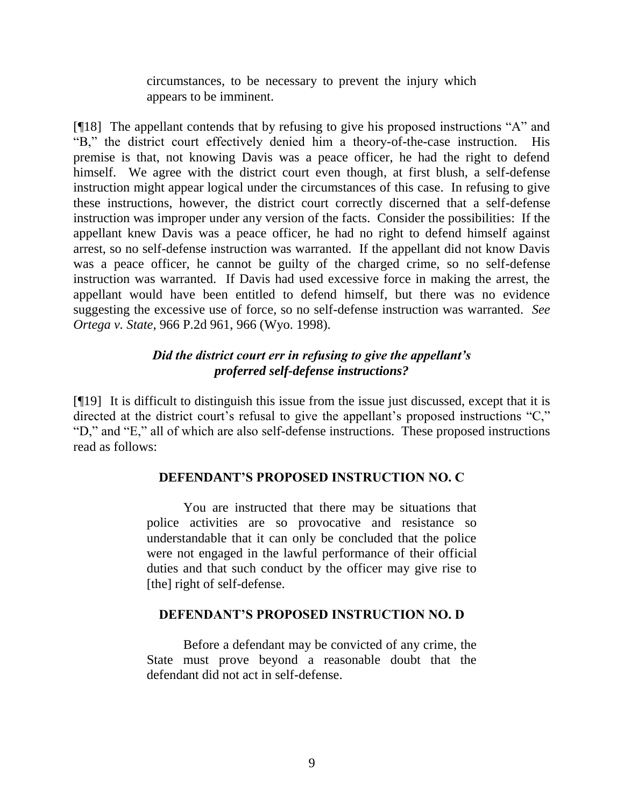circumstances, to be necessary to prevent the injury which appears to be imminent.

[¶18] The appellant contends that by refusing to give his proposed instructions "A" and "B," the district court effectively denied him a theory-of-the-case instruction. His premise is that, not knowing Davis was a peace officer, he had the right to defend himself. We agree with the district court even though, at first blush, a self-defense instruction might appear logical under the circumstances of this case. In refusing to give these instructions, however, the district court correctly discerned that a self-defense instruction was improper under any version of the facts. Consider the possibilities: If the appellant knew Davis was a peace officer, he had no right to defend himself against arrest, so no self-defense instruction was warranted. If the appellant did not know Davis was a peace officer, he cannot be guilty of the charged crime, so no self-defense instruction was warranted. If Davis had used excessive force in making the arrest, the appellant would have been entitled to defend himself, but there was no evidence suggesting the excessive use of force, so no self-defense instruction was warranted. *See Ortega v. State*, 966 P.2d 961, 966 (Wyo. 1998).

# *Did the district court err in refusing to give the appellant's proferred self-defense instructions?*

[¶19] It is difficult to distinguish this issue from the issue just discussed, except that it is directed at the district court's refusal to give the appellant's proposed instructions "C," "D," and "E," all of which are also self-defense instructions. These proposed instructions read as follows:

## **DEFENDANT'S PROPOSED INSTRUCTION NO. C**

You are instructed that there may be situations that police activities are so provocative and resistance so understandable that it can only be concluded that the police were not engaged in the lawful performance of their official duties and that such conduct by the officer may give rise to [the] right of self-defense.

## **DEFENDANT'S PROPOSED INSTRUCTION NO. D**

Before a defendant may be convicted of any crime, the State must prove beyond a reasonable doubt that the defendant did not act in self-defense.